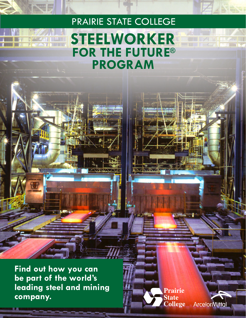# PRAIRIE STATE COLLEGE **STEELWORKER FOR THE FUTURE® PROGRAM**

**Find out how you can be part of the world's leading steel and mining company.**

Prairie **State College** 

**ArcelorMittal**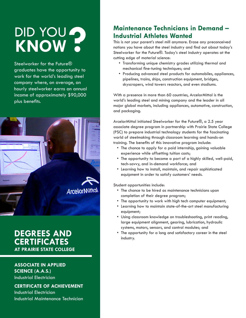# DID YOU **DID YOU?**<br>KNOW?

Steelworker for the Future® graduates have the opportunity to work for the world's leading steel company where, on average, an hourly steelworker earns an annual income of approximately \$90,000 plus benefits.



## **DEGREES AND CERTIFICATES AT PRAIRIE STATE COLLEGE**

**ASSOCIATE IN APPLIED SCIENCE (A.A.S.)** Industrial Electrician

**CERTIFICATE OF ACHIEVEMENT** Industrial Electrician Industrial Maintenance Technician

## **Maintenance Technicians in Demand – Industrial Athletes Wanted**

This is not your parent's steel mill anymore. Erase any preconceived notions you have about the steel industry and find out about today's Steelworker for the Future®. Today's steel industry operates at the cutting edge of material science:

- Transforming unique chemistry grades utilizing thermal and mechanical fine-tuning techniques; and
- Producing advanced steel products for automobiles, appliances, pipelines, trains, ships, construction equipment, bridges, skyscrapers, wind towers reactors, and even stadiums.

With a presence in more than 60 countries, ArcelorMittal is the world's leading steel and mining company and the leader in all major global markets, including appliances, automotive, construction, and packaging.

ArcelorMittal initiated Steelworker for the Future®, a 2.5 year associate degree program in partnership with Prairie State College (PSC) to prepare industrial technology students for the fascinating world of steelmaking through classroom learning and hands-on training. The benefits of this innovative program include:

- The chance to apply for a paid internship, gaining valuable experience while offsetting tuition costs;
- The opportunity to become a part of a highly skilled, well-paid, tech-savvy, and in-demand workforce; and
- Learning how to install, maintain, and repair sophisticated equipment in order to satisfy customers' needs.

Student opportunities include:

- The chance to be hired as maintenance technicians upon completion of their degree program;
- The opportunity to work with high tech computer equipment;
- Learning how to maintain state-of-the-art steel manufacturing equipment;
- Using classroom knowledge on troubleshooting, print reading, large equipment alignment, gearing, lubrication, hydraulic systems, motors, sensors, and control modules; and
- The opportunity for a long and satisfactory career in the steel industry.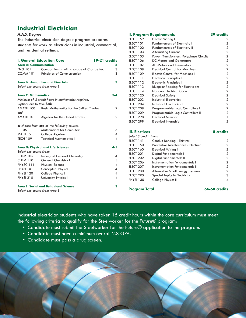## **Industrial Electrician**

#### *A.A.S. Degree*

The industrial electrician degree program prepares students for work as electricians in industrial, commercial, and residential settings.

| <b>I. General Education Core</b>        |                                                    |  | 19-21 credits            |
|-----------------------------------------|----------------------------------------------------|--|--------------------------|
| Area A: Communication                   |                                                    |  | 6                        |
| <b>ENG 101</b>                          | Composition I - with a grade of C or better.       |  | 3                        |
| <b>COMM 101</b>                         | Principles of Communication                        |  | 3                        |
| <b>Area B: Humanities and Fine Arts</b> |                                                    |  |                          |
| Select one course from Area B           |                                                    |  |                          |
| <b>Area C: Mathematics</b>              |                                                    |  | $3 - 4$                  |
|                                         | Minimum of 3 credit hours in mathematics required. |  |                          |
| Options are to take both:               |                                                    |  |                          |
| AMATH 100                               | <b>Basic Mathematics for the Skilled Trades</b>    |  | 2                        |
| and                                     |                                                    |  |                          |
| AMATH 101                               | Algebra for the Skilled Trades                     |  | $\overline{2}$           |
|                                         | or choose from one of the following courses:       |  |                          |
| <b>IT 106</b>                           | <b>Mathematics for Computers</b>                   |  | 3                        |
| <b>MATH 151</b>                         | College Algebra                                    |  | 4                        |
| <b>TECH 109</b>                         | <b>Technical Mathematics I</b>                     |  | 4                        |
| Area D: Physical and Life Sciences      |                                                    |  | $4 - 5$                  |
| Select one course from:                 |                                                    |  |                          |
| <b>CHEM 105</b>                         | Survey of General Chemistry                        |  | 4                        |
| <b>CHEM 110</b>                         | General Chemistry I                                |  | 5                        |
| PHYSC 111                               | <b>Physical Science</b>                            |  | 4                        |
| <b>PHYSI 101</b>                        | <b>Conceptual Physics</b>                          |  | $\boldsymbol{\varDelta}$ |
| <b>PHYSI 120</b>                        | College Physics I                                  |  | $\overline{4}$           |
| <b>PHYSI 210</b>                        | University Physics I                               |  | 4                        |
| Area E: Social and Behavioral Science   |                                                    |  | 3                        |
| Select one course from Area E           |                                                    |  |                          |

#### **II. Program Requirements** 39 credits<br>ELECT 159 Electric Wiring I 2 Electric Wiring I 2 ELECT 101 Fundamentals of Electricity I 2 ELECT 102 Fundamentals of Electricity II 2 ELECT 103 Alternating Current 2 ELECT 105 Power, Transformers, Polyphase Circuits 2 ELECT 106 DC Motors and Generators 2 ELECT 107 AC Motors and Generators 2 ELECT 108 Electrical Control for Machines I 2 ELECT 109 Electric Control for Machines II 2 ELECT 111 Electronic Principles I 2 ELECT 112 Electronic Principles II 2 ELECT 113 Blueprint Reading for Electricians 2 ELECT 114 National Electrical Code 2 ELECT 120 Electrical Safety 2 ELECT 203 Industrial Electronics I 2 ELECT 204 Industrial Electronics II 2 ELECT 208 Programmable Logic Controllers I 2 ELECT 209 Programmable Logic Controllers II 2 ELECT 298 Electrical Seminar 1 Electrical Internship **III. Electives 8 credits** *Select 8 credits from:* ELECT 141 Conduit Bending - Thinwall 2 ELECT 150 Preventive Maintenance - Electrical 2 ELECT 160 Electrical Wiring II 2 ELECT 201 Digital Fundamentals I 2 ELECT 202 Digital Fundamentals II 2 ELECT 206 Instrumentation Fundamentals I 2 ELECT 207 Instrumentation Fundamentals II 2 ELECT 230 Alternative Small Energy Systems 2 ELECT 290 Special Topics in Electricity 3 PHYSI 130 College Physics II 4

Program Total **66-68** credits

Industrial electrician students who have taken 15 credit hours within the core curriculum must meet the following criteria to qualify for the Steelworker for the Future® program:

- Candidate must submit the Steelworker for the Future® application to the program.
- Candidate must have a minimum overall 2.8 GPA.
- Candidate must pass a drug screen.